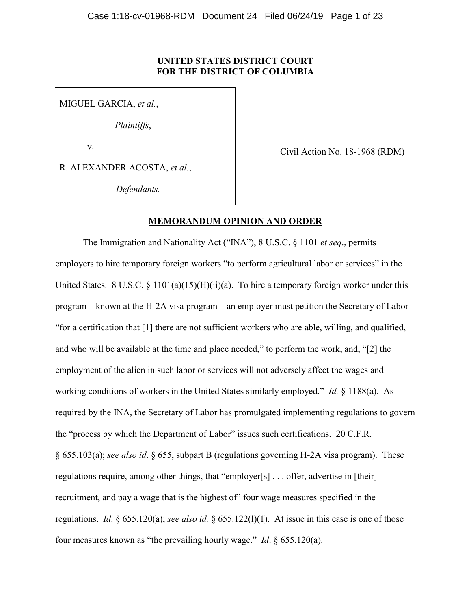## **UNITED STATES DISTRICT COURT FOR THE DISTRICT OF COLUMBIA**

MIGUEL GARCIA, *et al.*,

*Plaintiffs*,

v.

Civil Action No. 18-1968 (RDM)

R. ALEXANDER ACOSTA, *et al.*,

*Defendants.*

## **MEMORANDUM OPINION AND ORDER**

The Immigration and Nationality Act ("INA"), 8 U.S.C. § 1101 *et seq*., permits employers to hire temporary foreign workers "to perform agricultural labor or services" in the United States. 8 U.S.C. § 1101(a)(15)(H)(ii)(a). To hire a temporary foreign worker under this program—known at the H-2A visa program—an employer must petition the Secretary of Labor "for a certification that [1] there are not sufficient workers who are able, willing, and qualified, and who will be available at the time and place needed," to perform the work, and, "[2] the employment of the alien in such labor or services will not adversely affect the wages and working conditions of workers in the United States similarly employed." *Id.* § 1188(a). As required by the INA, the Secretary of Labor has promulgated implementing regulations to govern the "process by which the Department of Labor" issues such certifications. 20 C.F.R. § 655.103(a); *see also id*. § 655, subpart B (regulations governing H-2A visa program). These regulations require, among other things, that "employer[s] . . . offer, advertise in [their] recruitment, and pay a wage that is the highest of" four wage measures specified in the regulations. *Id*. § 655.120(a); *see also id.* § 655.122(l)(1). At issue in this case is one of those four measures known as "the prevailing hourly wage." *Id*. § 655.120(a).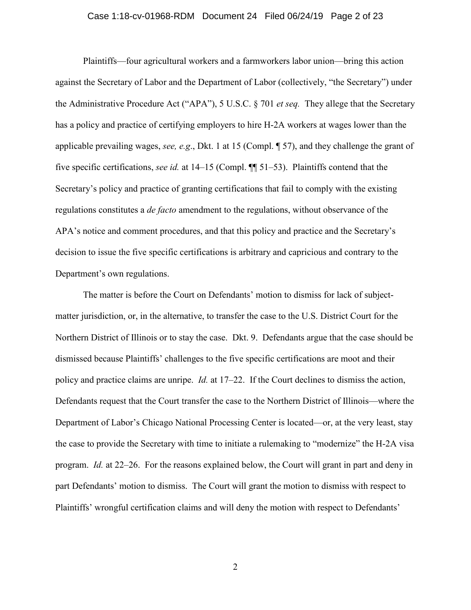### Case 1:18-cv-01968-RDM Document 24 Filed 06/24/19 Page 2 of 23

Plaintiffs—four agricultural workers and a farmworkers labor union—bring this action against the Secretary of Labor and the Department of Labor (collectively, "the Secretary") under the Administrative Procedure Act ("APA"), 5 U.S.C. § 701 *et seq.* They allege that the Secretary has a policy and practice of certifying employers to hire H-2A workers at wages lower than the applicable prevailing wages, *see, e.g*., Dkt. 1 at 15 (Compl. ¶ 57), and they challenge the grant of five specific certifications, *see id.* at 14–15 (Compl. ¶¶ 51–53). Plaintiffs contend that the Secretary's policy and practice of granting certifications that fail to comply with the existing regulations constitutes a *de facto* amendment to the regulations, without observance of the APA's notice and comment procedures, and that this policy and practice and the Secretary's decision to issue the five specific certifications is arbitrary and capricious and contrary to the Department's own regulations.

The matter is before the Court on Defendants' motion to dismiss for lack of subjectmatter jurisdiction, or, in the alternative, to transfer the case to the U.S. District Court for the Northern District of Illinois or to stay the case. Dkt. 9. Defendants argue that the case should be dismissed because Plaintiffs' challenges to the five specific certifications are moot and their policy and practice claims are unripe. *Id.* at 17–22. If the Court declines to dismiss the action, Defendants request that the Court transfer the case to the Northern District of Illinois—where the Department of Labor's Chicago National Processing Center is located—or, at the very least, stay the case to provide the Secretary with time to initiate a rulemaking to "modernize" the H-2A visa program. *Id.* at 22–26. For the reasons explained below, the Court will grant in part and deny in part Defendants' motion to dismiss. The Court will grant the motion to dismiss with respect to Plaintiffs' wrongful certification claims and will deny the motion with respect to Defendants'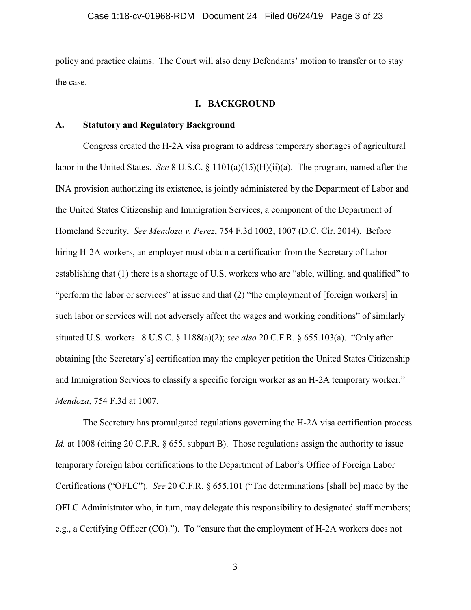### Case 1:18-cv-01968-RDM Document 24 Filed 06/24/19 Page 3 of 23

policy and practice claims. The Court will also deny Defendants' motion to transfer or to stay the case.

### **I. BACKGROUND**

### **A. Statutory and Regulatory Background**

Congress created the H-2A visa program to address temporary shortages of agricultural labor in the United States. *See* 8 U.S.C. § 1101(a)(15)(H)(ii)(a). The program, named after the INA provision authorizing its existence, is jointly administered by the Department of Labor and the United States Citizenship and Immigration Services, a component of the Department of Homeland Security. *See Mendoza v. Perez*, 754 F.3d 1002, 1007 (D.C. Cir. 2014). Before hiring H-2A workers, an employer must obtain a certification from the Secretary of Labor establishing that (1) there is a shortage of U.S. workers who are "able, willing, and qualified" to "perform the labor or services" at issue and that (2) "the employment of [foreign workers] in such labor or services will not adversely affect the wages and working conditions" of similarly situated U.S. workers. 8 U.S.C. § 1188(a)(2); *see also* 20 C.F.R. § 655.103(a). "Only after obtaining [the Secretary's] certification may the employer petition the United States Citizenship and Immigration Services to classify a specific foreign worker as an H-2A temporary worker." *Mendoza*, 754 F.3d at 1007.

The Secretary has promulgated regulations governing the H-2A visa certification process. *Id.* at 1008 (citing 20 C.F.R. § 655, subpart B). Those regulations assign the authority to issue temporary foreign labor certifications to the Department of Labor's Office of Foreign Labor Certifications ("OFLC"). *See* 20 C.F.R. § 655.101 ("The determinations [shall be] made by the OFLC Administrator who, in turn, may delegate this responsibility to designated staff members; e.g., a Certifying Officer (CO)."). To "ensure that the employment of H-2A workers does not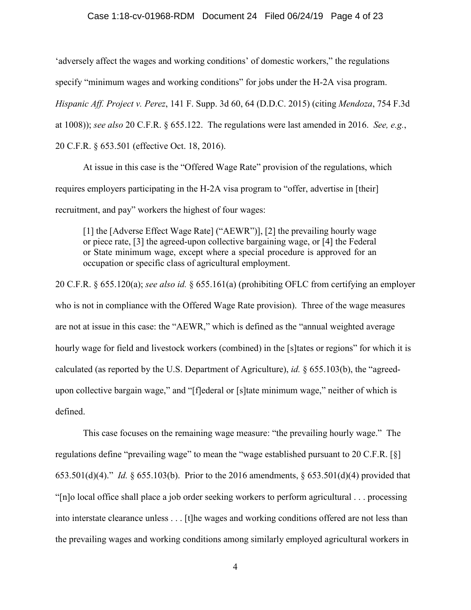### Case 1:18-cv-01968-RDM Document 24 Filed 06/24/19 Page 4 of 23

'adversely affect the wages and working conditions' of domestic workers," the regulations specify "minimum wages and working conditions" for jobs under the H-2A visa program. *Hispanic Aff. Project v. Perez*, 141 F. Supp. 3d 60, 64 (D.D.C. 2015) (citing *Mendoza*, 754 F.3d at 1008)); *see also* 20 C.F.R. § 655.122. The regulations were last amended in 2016. *See, e.g.*, 20 C.F.R. § 653.501 (effective Oct. 18, 2016).

At issue in this case is the "Offered Wage Rate" provision of the regulations, which requires employers participating in the H-2A visa program to "offer, advertise in [their] recruitment, and pay" workers the highest of four wages:

[1] the [Adverse Effect Wage Rate] ("AEWR")], [2] the prevailing hourly wage or piece rate, [3] the agreed-upon collective bargaining wage, or [4] the Federal or State minimum wage, except where a special procedure is approved for an occupation or specific class of agricultural employment.

20 C.F.R. § 655.120(a); *see also id.* § 655.161(a) (prohibiting OFLC from certifying an employer who is not in compliance with the Offered Wage Rate provision). Three of the wage measures are not at issue in this case: the "AEWR," which is defined as the "annual weighted average hourly wage for field and livestock workers (combined) in the [s] tates or regions" for which it is calculated (as reported by the U.S. Department of Agriculture), *id.* § 655.103(b), the "agreedupon collective bargain wage," and "[f]ederal or [s]tate minimum wage," neither of which is defined.

This case focuses on the remaining wage measure: "the prevailing hourly wage." The regulations define "prevailing wage" to mean the "wage established pursuant to 20 C.F.R. [§] 653.501(d)(4)." *Id.* § 655.103(b). Prior to the 2016 amendments, § 653.501(d)(4) provided that "[n]o local office shall place a job order seeking workers to perform agricultural . . . processing into interstate clearance unless . . . [t]he wages and working conditions offered are not less than the prevailing wages and working conditions among similarly employed agricultural workers in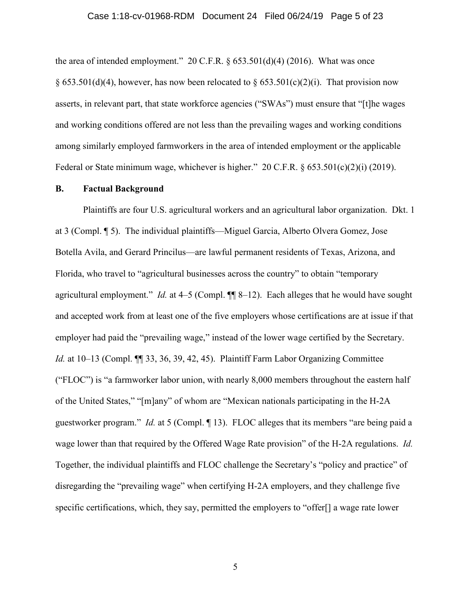#### Case 1:18-cv-01968-RDM Document 24 Filed 06/24/19 Page 5 of 23

the area of intended employment." 20 C.F.R.  $\S 653.501(d)(4)$  (2016). What was once § 653.501(d)(4), however, has now been relocated to § 653.501(c)(2)(i). That provision now asserts, in relevant part, that state workforce agencies ("SWAs") must ensure that "[t]he wages and working conditions offered are not less than the prevailing wages and working conditions among similarly employed farmworkers in the area of intended employment or the applicable Federal or State minimum wage, whichever is higher." 20 C.F.R. § 653.501(c)(2)(i) (2019).

## **B. Factual Background**

Plaintiffs are four U.S. agricultural workers and an agricultural labor organization. Dkt. 1 at 3 (Compl. ¶ 5). The individual plaintiffs—Miguel Garcia, Alberto Olvera Gomez, Jose Botella Avila, and Gerard Princilus—are lawful permanent residents of Texas, Arizona, and Florida, who travel to "agricultural businesses across the country" to obtain "temporary agricultural employment." *Id.* at 4–5 (Compl. ¶¶ 8–12). Each alleges that he would have sought and accepted work from at least one of the five employers whose certifications are at issue if that employer had paid the "prevailing wage," instead of the lower wage certified by the Secretary. *Id.* at 10–13 (Compl.  $\P$  33, 36, 39, 42, 45). Plaintiff Farm Labor Organizing Committee ("FLOC") is "a farmworker labor union, with nearly 8,000 members throughout the eastern half of the United States," "[m]any" of whom are "Mexican nationals participating in the H-2A guestworker program." *Id.* at 5 (Compl. ¶ 13). FLOC alleges that its members "are being paid a wage lower than that required by the Offered Wage Rate provision" of the H-2A regulations. *Id.*  Together, the individual plaintiffs and FLOC challenge the Secretary's "policy and practice" of disregarding the "prevailing wage" when certifying H-2A employers, and they challenge five specific certifications, which, they say, permitted the employers to "offer[] a wage rate lower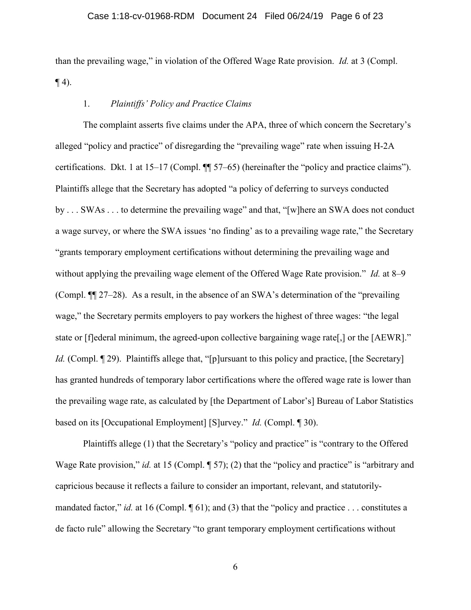### Case 1:18-cv-01968-RDM Document 24 Filed 06/24/19 Page 6 of 23

than the prevailing wage," in violation of the Offered Wage Rate provision. *Id.* at 3 (Compl.  $\P(4)$ .

# 1. *Plaintiffs' Policy and Practice Claims*

The complaint asserts five claims under the APA, three of which concern the Secretary's alleged "policy and practice" of disregarding the "prevailing wage" rate when issuing H-2A certifications. Dkt. 1 at 15–17 (Compl. ¶¶ 57–65) (hereinafter the "policy and practice claims"). Plaintiffs allege that the Secretary has adopted "a policy of deferring to surveys conducted by . . . SWAs . . . to determine the prevailing wage" and that, "[w]here an SWA does not conduct a wage survey, or where the SWA issues 'no finding' as to a prevailing wage rate," the Secretary "grants temporary employment certifications without determining the prevailing wage and without applying the prevailing wage element of the Offered Wage Rate provision." *Id.* at 8–9 (Compl. ¶¶ 27–28). As a result, in the absence of an SWA's determination of the "prevailing wage," the Secretary permits employers to pay workers the highest of three wages: "the legal state or [f]ederal minimum, the agreed-upon collective bargaining wage rate[,] or the [AEWR]." *Id.* (Compl. ¶ 29). Plaintiffs allege that, "[p]ursuant to this policy and practice, [the Secretary] has granted hundreds of temporary labor certifications where the offered wage rate is lower than the prevailing wage rate, as calculated by [the Department of Labor's] Bureau of Labor Statistics based on its [Occupational Employment] [S]urvey." *Id.* (Compl. ¶ 30).

Plaintiffs allege (1) that the Secretary's "policy and practice" is "contrary to the Offered Wage Rate provision," *id.* at 15 (Compl. ¶ 57); (2) that the "policy and practice" is "arbitrary and capricious because it reflects a failure to consider an important, relevant, and statutorilymandated factor," *id.* at 16 (Compl. ¶ 61); and (3) that the "policy and practice . . . constitutes a de facto rule" allowing the Secretary "to grant temporary employment certifications without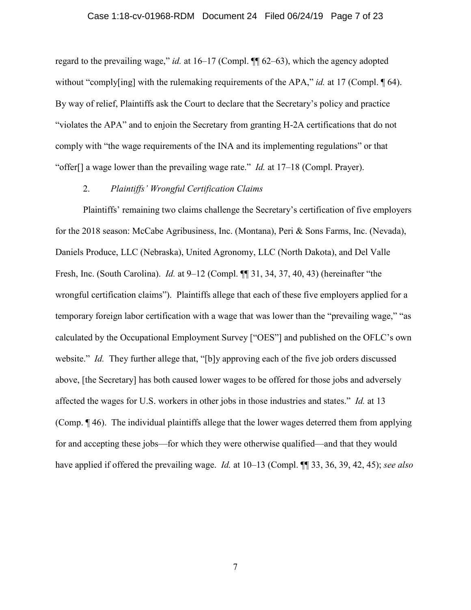regard to the prevailing wage," *id.* at 16–17 (Compl. ¶¶ 62–63), which the agency adopted without "comply<sup>[ing]</sup> with the rulemaking requirements of the APA," *id.* at 17 (Compl. 164). By way of relief, Plaintiffs ask the Court to declare that the Secretary's policy and practice "violates the APA" and to enjoin the Secretary from granting H-2A certifications that do not comply with "the wage requirements of the INA and its implementing regulations" or that "offer[] a wage lower than the prevailing wage rate." *Id.* at 17–18 (Compl. Prayer).

## 2. *Plaintiffs' Wrongful Certification Claims*

Plaintiffs' remaining two claims challenge the Secretary's certification of five employers for the 2018 season: McCabe Agribusiness, Inc. (Montana), Peri & Sons Farms, Inc. (Nevada), Daniels Produce, LLC (Nebraska), United Agronomy, LLC (North Dakota), and Del Valle Fresh, Inc. (South Carolina). *Id.* at 9–12 (Compl. ¶¶ 31, 34, 37, 40, 43) (hereinafter "the wrongful certification claims"). Plaintiffs allege that each of these five employers applied for a temporary foreign labor certification with a wage that was lower than the "prevailing wage," "as calculated by the Occupational Employment Survey ["OES"] and published on the OFLC's own website." *Id.* They further allege that, "[b]y approving each of the five job orders discussed above, [the Secretary] has both caused lower wages to be offered for those jobs and adversely affected the wages for U.S. workers in other jobs in those industries and states." *Id.* at 13 (Comp. ¶ 46). The individual plaintiffs allege that the lower wages deterred them from applying for and accepting these jobs—for which they were otherwise qualified—and that they would have applied if offered the prevailing wage. *Id.* at 10–13 (Compl. ¶¶ 33, 36, 39, 42, 45); *see also*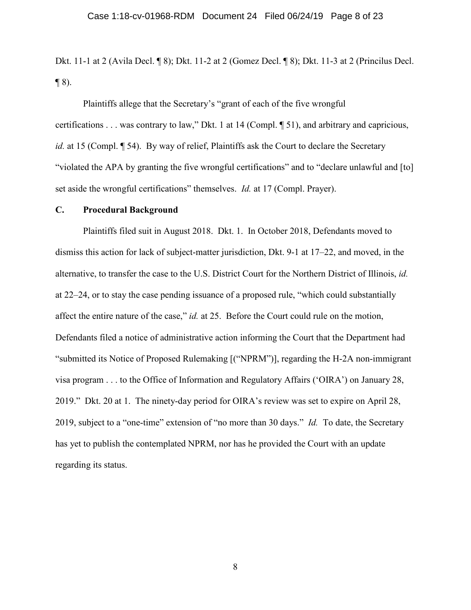Dkt. 11-1 at 2 (Avila Decl. ¶ 8); Dkt. 11-2 at 2 (Gomez Decl. ¶ 8); Dkt. 11-3 at 2 (Princilus Decl.  $\P$  8).

Plaintiffs allege that the Secretary's "grant of each of the five wrongful certifications . . . was contrary to law," Dkt. 1 at 14 (Compl. ¶ 51), and arbitrary and capricious, *id.* at 15 (Compl. 154). By way of relief, Plaintiffs ask the Court to declare the Secretary "violated the APA by granting the five wrongful certifications" and to "declare unlawful and [to] set aside the wrongful certifications" themselves. *Id.* at 17 (Compl. Prayer).

### **C. Procedural Background**

Plaintiffs filed suit in August 2018. Dkt. 1. In October 2018, Defendants moved to dismiss this action for lack of subject-matter jurisdiction, Dkt. 9-1 at 17–22, and moved, in the alternative, to transfer the case to the U.S. District Court for the Northern District of Illinois, *id.*  at 22–24, or to stay the case pending issuance of a proposed rule, "which could substantially affect the entire nature of the case," *id.* at 25. Before the Court could rule on the motion, Defendants filed a notice of administrative action informing the Court that the Department had "submitted its Notice of Proposed Rulemaking [("NPRM")], regarding the H-2A non-immigrant visa program . . . to the Office of Information and Regulatory Affairs ('OIRA') on January 28, 2019." Dkt. 20 at 1. The ninety-day period for OIRA's review was set to expire on April 28, 2019, subject to a "one-time" extension of "no more than 30 days." *Id.* To date, the Secretary has yet to publish the contemplated NPRM, nor has he provided the Court with an update regarding its status.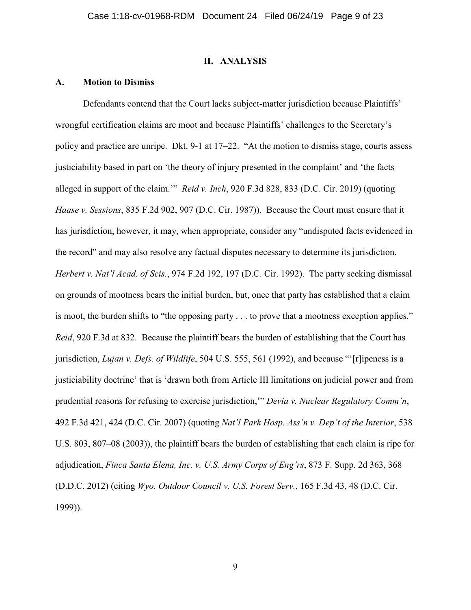## **II. ANALYSIS**

### **A. Motion to Dismiss**

Defendants contend that the Court lacks subject-matter jurisdiction because Plaintiffs' wrongful certification claims are moot and because Plaintiffs' challenges to the Secretary's policy and practice are unripe. Dkt. 9-1 at 17–22. "At the motion to dismiss stage, courts assess justiciability based in part on 'the theory of injury presented in the complaint' and 'the facts alleged in support of the claim.'" *Reid v. Inch*, 920 F.3d 828, 833 (D.C. Cir. 2019) (quoting *Haase v. Sessions*, 835 F.2d 902, 907 (D.C. Cir. 1987)). Because the Court must ensure that it has jurisdiction, however, it may, when appropriate, consider any "undisputed facts evidenced in the record" and may also resolve any factual disputes necessary to determine its jurisdiction. *Herbert v. Nat'l Acad. of Scis.*, 974 F.2d 192, 197 (D.C. Cir. 1992). The party seeking dismissal on grounds of mootness bears the initial burden, but, once that party has established that a claim is moot, the burden shifts to "the opposing party . . . to prove that a mootness exception applies." *Reid*, 920 F.3d at 832. Because the plaintiff bears the burden of establishing that the Court has jurisdiction, *Lujan v. Defs. of Wildlife*, 504 U.S. 555, 561 (1992), and because "'[r]ipeness is a justiciability doctrine' that is 'drawn both from Article III limitations on judicial power and from prudential reasons for refusing to exercise jurisdiction,'" *Devia v. Nuclear Regulatory Comm'n*, 492 F.3d 421, 424 (D.C. Cir. 2007) (quoting *Nat'l Park Hosp. Ass'n v. Dep't of the Interior*, 538 U.S. 803, 807–08 (2003)), the plaintiff bears the burden of establishing that each claim is ripe for adjudication, *Finca Santa Elena, Inc. v. U.S. Army Corps of Eng'rs*, 873 F. Supp. 2d 363, 368 (D.D.C. 2012) (citing *Wyo. Outdoor Council v. U.S. Forest Serv.*, 165 F.3d 43, 48 (D.C. Cir. 1999)).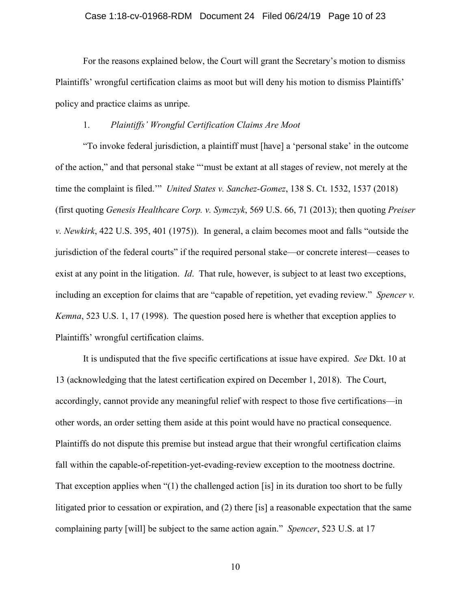# Case 1:18-cv-01968-RDM Document 24 Filed 06/24/19 Page 10 of 23

For the reasons explained below, the Court will grant the Secretary's motion to dismiss Plaintiffs' wrongful certification claims as moot but will deny his motion to dismiss Plaintiffs' policy and practice claims as unripe.

## 1. *Plaintiffs' Wrongful Certification Claims Are Moot*

"To invoke federal jurisdiction, a plaintiff must [have] a 'personal stake' in the outcome of the action," and that personal stake "'must be extant at all stages of review, not merely at the time the complaint is filed.'" *United States v. Sanchez-Gomez*, 138 S. Ct. 1532, 1537 (2018) (first quoting *Genesis Healthcare Corp. v. Symczyk*, 569 U.S. 66, 71 (2013); then quoting *Preiser v. Newkirk*, 422 U.S. 395, 401 (1975)). In general, a claim becomes moot and falls "outside the jurisdiction of the federal courts" if the required personal stake—or concrete interest—ceases to exist at any point in the litigation. *Id*. That rule, however, is subject to at least two exceptions, including an exception for claims that are "capable of repetition, yet evading review." *Spencer v. Kemna*, 523 U.S. 1, 17 (1998). The question posed here is whether that exception applies to Plaintiffs' wrongful certification claims.

It is undisputed that the five specific certifications at issue have expired. *See* Dkt. 10 at 13 (acknowledging that the latest certification expired on December 1, 2018). The Court, accordingly, cannot provide any meaningful relief with respect to those five certifications—in other words, an order setting them aside at this point would have no practical consequence. Plaintiffs do not dispute this premise but instead argue that their wrongful certification claims fall within the capable-of-repetition-yet-evading-review exception to the mootness doctrine. That exception applies when "(1) the challenged action [is] in its duration too short to be fully litigated prior to cessation or expiration, and (2) there [is] a reasonable expectation that the same complaining party [will] be subject to the same action again." *Spencer*, 523 U.S. at 17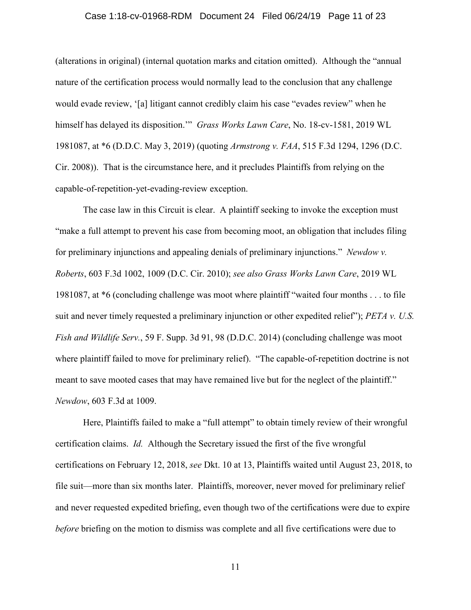## Case 1:18-cv-01968-RDM Document 24 Filed 06/24/19 Page 11 of 23

(alterations in original) (internal quotation marks and citation omitted). Although the "annual nature of the certification process would normally lead to the conclusion that any challenge would evade review, '[a] litigant cannot credibly claim his case "evades review" when he himself has delayed its disposition.'" *Grass Works Lawn Care*, No. 18-cv-1581, 2019 WL 1981087, at \*6 (D.D.C. May 3, 2019) (quoting *Armstrong v. FAA*, 515 F.3d 1294, 1296 (D.C. Cir. 2008)). That is the circumstance here, and it precludes Plaintiffs from relying on the capable-of-repetition-yet-evading-review exception.

The case law in this Circuit is clear. A plaintiff seeking to invoke the exception must "make a full attempt to prevent his case from becoming moot, an obligation that includes filing for preliminary injunctions and appealing denials of preliminary injunctions." *Newdow v. Roberts*, 603 F.3d 1002, 1009 (D.C. Cir. 2010); *see also Grass Works Lawn Care*, 2019 WL 1981087, at \*6 (concluding challenge was moot where plaintiff "waited four months . . . to file suit and never timely requested a preliminary injunction or other expedited relief"); *PETA v. U.S. Fish and Wildlife Serv.*, 59 F. Supp. 3d 91, 98 (D.D.C. 2014) (concluding challenge was moot where plaintiff failed to move for preliminary relief). "The capable-of-repetition doctrine is not meant to save mooted cases that may have remained live but for the neglect of the plaintiff." *Newdow*, 603 F.3d at 1009.

Here, Plaintiffs failed to make a "full attempt" to obtain timely review of their wrongful certification claims. *Id.* Although the Secretary issued the first of the five wrongful certifications on February 12, 2018, *see* Dkt. 10 at 13, Plaintiffs waited until August 23, 2018, to file suit—more than six months later. Plaintiffs, moreover, never moved for preliminary relief and never requested expedited briefing, even though two of the certifications were due to expire *before* briefing on the motion to dismiss was complete and all five certifications were due to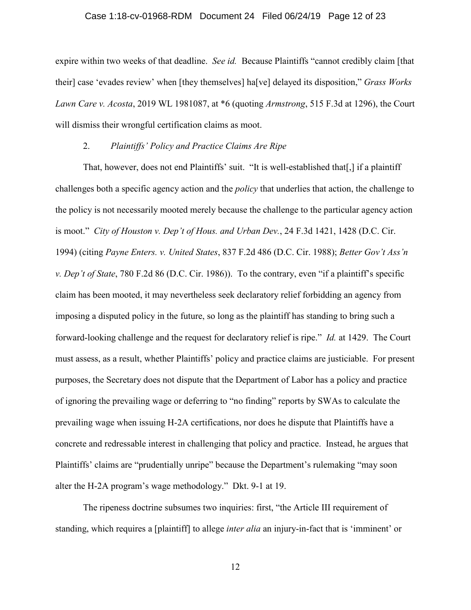# Case 1:18-cv-01968-RDM Document 24 Filed 06/24/19 Page 12 of 23

expire within two weeks of that deadline. *See id.* Because Plaintiffs "cannot credibly claim [that their] case 'evades review' when [they themselves] ha[ve] delayed its disposition," *Grass Works Lawn Care v. Acosta*, 2019 WL 1981087, at \*6 (quoting *Armstrong*, 515 F.3d at 1296), the Court will dismiss their wrongful certification claims as moot.

### 2. *Plaintiffs' Policy and Practice Claims Are Ripe*

That, however, does not end Plaintiffs' suit. "It is well-established that[,] if a plaintiff challenges both a specific agency action and the *policy* that underlies that action, the challenge to the policy is not necessarily mooted merely because the challenge to the particular agency action is moot." *City of Houston v. Dep't of Hous. and Urban Dev.*, 24 F.3d 1421, 1428 (D.C. Cir. 1994) (citing *Payne Enters. v. United States*, 837 F.2d 486 (D.C. Cir. 1988); *Better Gov't Ass'n v. Dep't of State*, 780 F.2d 86 (D.C. Cir. 1986)). To the contrary, even "if a plaintiff's specific claim has been mooted, it may nevertheless seek declaratory relief forbidding an agency from imposing a disputed policy in the future, so long as the plaintiff has standing to bring such a forward-looking challenge and the request for declaratory relief is ripe." *Id.* at 1429. The Court must assess, as a result, whether Plaintiffs' policy and practice claims are justiciable. For present purposes, the Secretary does not dispute that the Department of Labor has a policy and practice of ignoring the prevailing wage or deferring to "no finding" reports by SWAs to calculate the prevailing wage when issuing H-2A certifications, nor does he dispute that Plaintiffs have a concrete and redressable interest in challenging that policy and practice. Instead, he argues that Plaintiffs' claims are "prudentially unripe" because the Department's rulemaking "may soon alter the H-2A program's wage methodology." Dkt. 9-1 at 19.

The ripeness doctrine subsumes two inquiries: first, "the Article III requirement of standing, which requires a [plaintiff] to allege *inter alia* an injury-in-fact that is 'imminent' or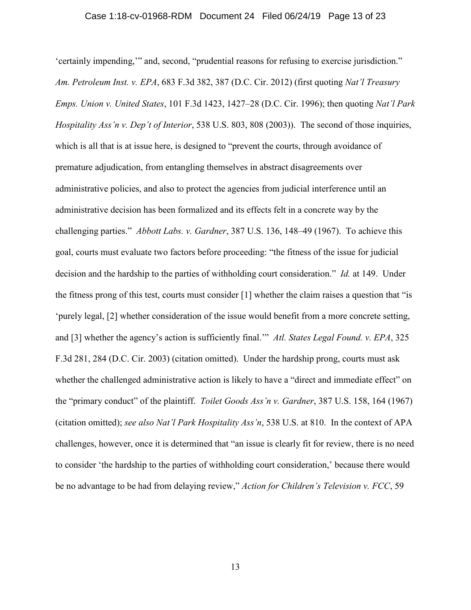#### Case 1:18-cv-01968-RDM Document 24 Filed 06/24/19 Page 13 of 23

'certainly impending,'" and, second, "prudential reasons for refusing to exercise jurisdiction." *Am. Petroleum Inst. v. EPA*, 683 F.3d 382, 387 (D.C. Cir. 2012) (first quoting *Nat'l Treasury Emps. Union v. United States*, 101 F.3d 1423, 1427–28 (D.C. Cir. 1996); then quoting *Nat'l Park Hospitality Ass'n v. Dep't of Interior*, 538 U.S. 803, 808 (2003)). The second of those inquiries, which is all that is at issue here, is designed to "prevent the courts, through avoidance of premature adjudication, from entangling themselves in abstract disagreements over administrative policies, and also to protect the agencies from judicial interference until an administrative decision has been formalized and its effects felt in a concrete way by the challenging parties." *Abbott Labs. v. Gardner*, 387 U.S. 136, 148–49 (1967). To achieve this goal, courts must evaluate two factors before proceeding: "the fitness of the issue for judicial decision and the hardship to the parties of withholding court consideration." *Id.* at 149. Under the fitness prong of this test, courts must consider [1] whether the claim raises a question that "is 'purely legal, [2] whether consideration of the issue would benefit from a more concrete setting, and [3] whether the agency's action is sufficiently final.'" *Atl. States Legal Found. v. EPA*, 325 F.3d 281, 284 (D.C. Cir. 2003) (citation omitted). Under the hardship prong, courts must ask whether the challenged administrative action is likely to have a "direct and immediate effect" on the "primary conduct" of the plaintiff. *Toilet Goods Ass'n v. Gardner*, 387 U.S. 158, 164 (1967) (citation omitted); *see also Nat'l Park Hospitality Ass'n*, 538 U.S. at 810. In the context of APA challenges, however, once it is determined that "an issue is clearly fit for review, there is no need to consider 'the hardship to the parties of withholding court consideration,' because there would be no advantage to be had from delaying review," *Action for Children's Television v. FCC*, 59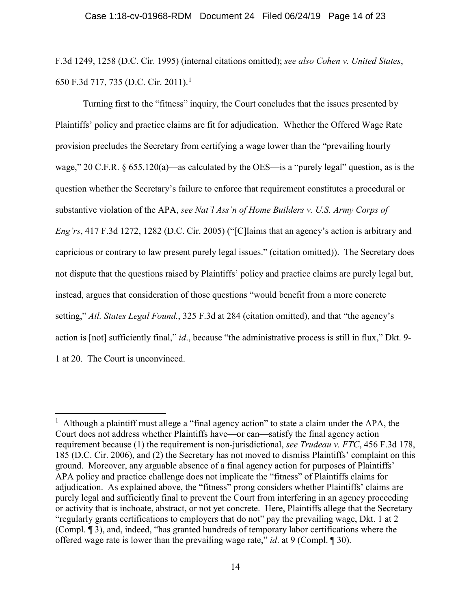F.3d 1249, 1258 (D.C. Cir. 1995) (internal citations omitted); *see also Cohen v. United States*, 650 F.3d 717, 735 (D.C. Cir. 2011). [1](#page-13-0)

Turning first to the "fitness" inquiry, the Court concludes that the issues presented by Plaintiffs' policy and practice claims are fit for adjudication. Whether the Offered Wage Rate provision precludes the Secretary from certifying a wage lower than the "prevailing hourly wage," 20 C.F.R. § 655.120(a)—as calculated by the OES—is a "purely legal" question, as is the question whether the Secretary's failure to enforce that requirement constitutes a procedural or substantive violation of the APA, *see Nat'l Ass'n of Home Builders v. U.S. Army Corps of Eng'rs*, 417 F.3d 1272, 1282 (D.C. Cir. 2005) ("[C]laims that an agency's action is arbitrary and capricious or contrary to law present purely legal issues." (citation omitted)). The Secretary does not dispute that the questions raised by Plaintiffs' policy and practice claims are purely legal but, instead, argues that consideration of those questions "would benefit from a more concrete setting," *Atl. States Legal Found.*, 325 F.3d at 284 (citation omitted), and that "the agency's action is [not] sufficiently final," *id*., because "the administrative process is still in flux," Dkt. 9- 1 at 20. The Court is unconvinced.

<span id="page-13-0"></span> $\frac{1}{1}$  $<sup>1</sup>$  Although a plaintiff must allege a "final agency action" to state a claim under the APA, the</sup> Court does not address whether Plaintiffs have—or can—satisfy the final agency action requirement because (1) the requirement is non-jurisdictional, *see Trudeau v. FTC*, 456 F.3d 178, 185 (D.C. Cir. 2006), and (2) the Secretary has not moved to dismiss Plaintiffs' complaint on this ground. Moreover, any arguable absence of a final agency action for purposes of Plaintiffs' APA policy and practice challenge does not implicate the "fitness" of Plaintiffs claims for adjudication. As explained above, the "fitness" prong considers whether Plaintiffs' claims are purely legal and sufficiently final to prevent the Court from interfering in an agency proceeding or activity that is inchoate, abstract, or not yet concrete. Here, Plaintiffs allege that the Secretary "regularly grants certifications to employers that do not" pay the prevailing wage, Dkt. 1 at 2 (Compl. ¶ 3), and, indeed, "has granted hundreds of temporary labor certifications where the offered wage rate is lower than the prevailing wage rate," *id*. at 9 (Compl. ¶ 30).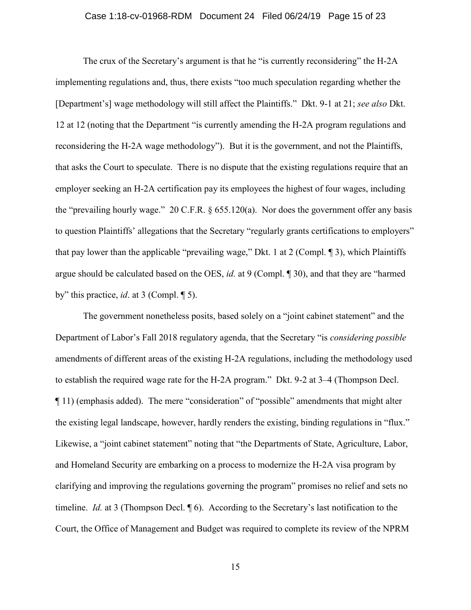### Case 1:18-cv-01968-RDM Document 24 Filed 06/24/19 Page 15 of 23

The crux of the Secretary's argument is that he "is currently reconsidering" the H-2A implementing regulations and, thus, there exists "too much speculation regarding whether the [Department's] wage methodology will still affect the Plaintiffs." Dkt. 9-1 at 21; *see also* Dkt. 12 at 12 (noting that the Department "is currently amending the H-2A program regulations and reconsidering the H-2A wage methodology"). But it is the government, and not the Plaintiffs, that asks the Court to speculate. There is no dispute that the existing regulations require that an employer seeking an H-2A certification pay its employees the highest of four wages, including the "prevailing hourly wage." 20 C.F.R. § 655.120(a). Nor does the government offer any basis to question Plaintiffs' allegations that the Secretary "regularly grants certifications to employers" that pay lower than the applicable "prevailing wage," Dkt. 1 at 2 (Compl. ¶ 3), which Plaintiffs argue should be calculated based on the OES, *id.* at 9 (Compl. ¶ 30), and that they are "harmed by" this practice, *id*. at 3 (Compl. ¶ 5).

The government nonetheless posits, based solely on a "joint cabinet statement" and the Department of Labor's Fall 2018 regulatory agenda, that the Secretary "is *considering possible* amendments of different areas of the existing H-2A regulations, including the methodology used to establish the required wage rate for the H-2A program." Dkt. 9-2 at 3–4 (Thompson Decl. ¶ 11) (emphasis added). The mere "consideration" of "possible" amendments that might alter the existing legal landscape, however, hardly renders the existing, binding regulations in "flux." Likewise, a "joint cabinet statement" noting that "the Departments of State, Agriculture, Labor, and Homeland Security are embarking on a process to modernize the H-2A visa program by clarifying and improving the regulations governing the program" promises no relief and sets no timeline. *Id.* at 3 (Thompson Decl. ¶ 6). According to the Secretary's last notification to the Court, the Office of Management and Budget was required to complete its review of the NPRM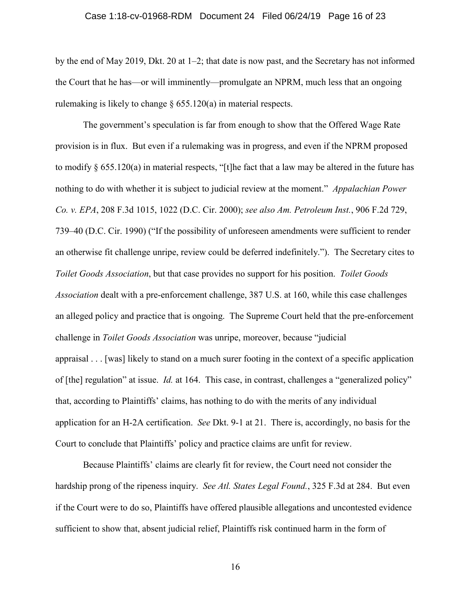## Case 1:18-cv-01968-RDM Document 24 Filed 06/24/19 Page 16 of 23

by the end of May 2019, Dkt. 20 at 1–2; that date is now past, and the Secretary has not informed the Court that he has—or will imminently—promulgate an NPRM, much less that an ongoing rulemaking is likely to change § 655.120(a) in material respects.

The government's speculation is far from enough to show that the Offered Wage Rate provision is in flux. But even if a rulemaking was in progress, and even if the NPRM proposed to modify  $\S 655.120(a)$  in material respects, "[t]he fact that a law may be altered in the future has nothing to do with whether it is subject to judicial review at the moment." *Appalachian Power Co. v. EPA*, 208 F.3d 1015, 1022 (D.C. Cir. 2000); *see also Am. Petroleum Inst.*, 906 F.2d 729, 739–40 (D.C. Cir. 1990) ("If the possibility of unforeseen amendments were sufficient to render an otherwise fit challenge unripe, review could be deferred indefinitely."). The Secretary cites to *Toilet Goods Association*, but that case provides no support for his position. *Toilet Goods Association* dealt with a pre-enforcement challenge, 387 U.S. at 160, while this case challenges an alleged policy and practice that is ongoing. The Supreme Court held that the pre-enforcement challenge in *Toilet Goods Association* was unripe, moreover, because "judicial appraisal . . . [was] likely to stand on a much surer footing in the context of a specific application of [the] regulation" at issue. *Id.* at 164. This case, in contrast, challenges a "generalized policy" that, according to Plaintiffs' claims, has nothing to do with the merits of any individual application for an H-2A certification. *See* Dkt. 9-1 at 21. There is, accordingly, no basis for the Court to conclude that Plaintiffs' policy and practice claims are unfit for review.

Because Plaintiffs' claims are clearly fit for review, the Court need not consider the hardship prong of the ripeness inquiry. *See Atl. States Legal Found.*, 325 F.3d at 284. But even if the Court were to do so, Plaintiffs have offered plausible allegations and uncontested evidence sufficient to show that, absent judicial relief, Plaintiffs risk continued harm in the form of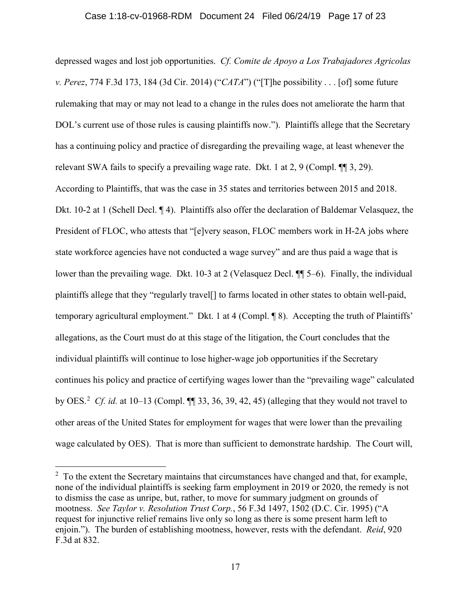### Case 1:18-cv-01968-RDM Document 24 Filed 06/24/19 Page 17 of 23

depressed wages and lost job opportunities. *Cf. Comite de Apoyo a Los Trabajadores Agricolas v. Perez*, 774 F.3d 173, 184 (3d Cir. 2014) ("*CATA*") ("[T]he possibility . . . [of] some future rulemaking that may or may not lead to a change in the rules does not ameliorate the harm that DOL's current use of those rules is causing plaintiffs now."). Plaintiffs allege that the Secretary has a continuing policy and practice of disregarding the prevailing wage, at least whenever the relevant SWA fails to specify a prevailing wage rate. Dkt. 1 at 2, 9 (Compl.  $\P$  3, 29). According to Plaintiffs, that was the case in 35 states and territories between 2015 and 2018. Dkt. 10-2 at 1 (Schell Decl. ¶ 4). Plaintiffs also offer the declaration of Baldemar Velasquez, the President of FLOC, who attests that "[e]very season, FLOC members work in H-2A jobs where state workforce agencies have not conducted a wage survey" and are thus paid a wage that is lower than the prevailing wage. Dkt. 10-3 at 2 (Velasquez Decl.  $\P$  5–6). Finally, the individual plaintiffs allege that they "regularly travel[] to farms located in other states to obtain well-paid, temporary agricultural employment." Dkt. 1 at 4 (Compl. ¶ 8). Accepting the truth of Plaintiffs' allegations, as the Court must do at this stage of the litigation, the Court concludes that the individual plaintiffs will continue to lose higher-wage job opportunities if the Secretary continues his policy and practice of certifying wages lower than the "prevailing wage" calculated by OES. [2](#page-16-0) *Cf. id.* at 10–13 (Compl. ¶¶ 33, 36, 39, 42, 45) (alleging that they would not travel to other areas of the United States for employment for wages that were lower than the prevailing wage calculated by OES). That is more than sufficient to demonstrate hardship. The Court will,

<span id="page-16-0"></span> $\overline{2}$  $2\,$  To the extent the Secretary maintains that circumstances have changed and that, for example, none of the individual plaintiffs is seeking farm employment in 2019 or 2020, the remedy is not to dismiss the case as unripe, but, rather, to move for summary judgment on grounds of mootness. *See Taylor v. Resolution Trust Corp.*, 56 F.3d 1497, 1502 (D.C. Cir. 1995) ("A request for injunctive relief remains live only so long as there is some present harm left to enjoin."). The burden of establishing mootness, however, rests with the defendant. *Reid*, 920 F.3d at 832.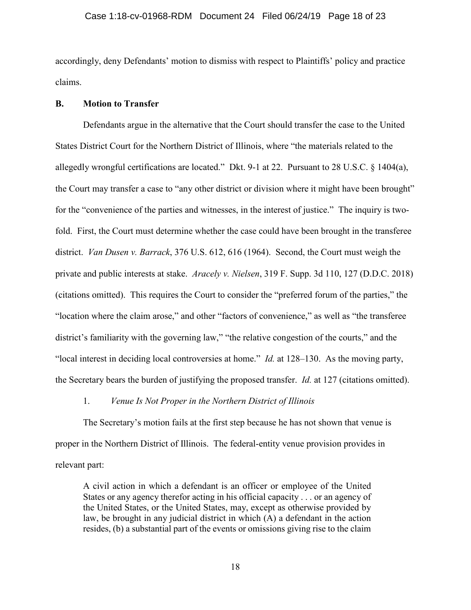#### Case 1:18-cv-01968-RDM Document 24 Filed 06/24/19 Page 18 of 23

accordingly, deny Defendants' motion to dismiss with respect to Plaintiffs' policy and practice claims.

## **B. Motion to Transfer**

Defendants argue in the alternative that the Court should transfer the case to the United States District Court for the Northern District of Illinois, where "the materials related to the allegedly wrongful certifications are located." Dkt. 9-1 at 22. Pursuant to 28 U.S.C. § 1404(a), the Court may transfer a case to "any other district or division where it might have been brought" for the "convenience of the parties and witnesses, in the interest of justice." The inquiry is twofold. First, the Court must determine whether the case could have been brought in the transferee district. *Van Dusen v. Barrack*, 376 U.S. 612, 616 (1964). Second, the Court must weigh the private and public interests at stake. *Aracely v. Nielsen*, 319 F. Supp. 3d 110, 127 (D.D.C. 2018) (citations omitted). This requires the Court to consider the "preferred forum of the parties," the "location where the claim arose," and other "factors of convenience," as well as "the transferee district's familiarity with the governing law," "the relative congestion of the courts," and the "local interest in deciding local controversies at home." *Id.* at 128–130. As the moving party, the Secretary bears the burden of justifying the proposed transfer. *Id.* at 127 (citations omitted).

### 1. *Venue Is Not Proper in the Northern District of Illinois*

The Secretary's motion fails at the first step because he has not shown that venue is proper in the Northern District of Illinois. The federal-entity venue provision provides in relevant part:

A civil action in which a defendant is an officer or employee of the United States or any agency therefor acting in his official capacity . . . or an agency of the United States, or the United States, may, except as otherwise provided by law, be brought in any judicial district in which (A) a defendant in the action resides, (b) a substantial part of the events or omissions giving rise to the claim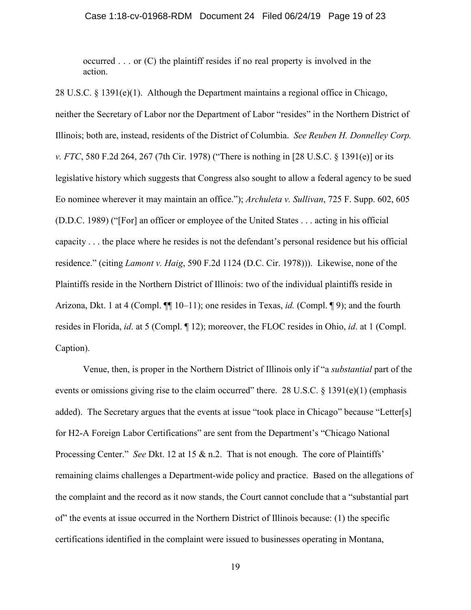occurred  $\ldots$  or (C) the plaintiff resides if no real property is involved in the action.

28 U.S.C. § 1391(e)(1). Although the Department maintains a regional office in Chicago, neither the Secretary of Labor nor the Department of Labor "resides" in the Northern District of Illinois; both are, instead, residents of the District of Columbia. *See Reuben H. Donnelley Corp. v. FTC*, 580 F.2d 264, 267 (7th Cir. 1978) ("There is nothing in [28 U.S.C. § 1391(e)] or its legislative history which suggests that Congress also sought to allow a federal agency to be sued Eo nominee wherever it may maintain an office."); *Archuleta v. Sullivan*, 725 F. Supp. 602, 605 (D.D.C. 1989) ("[For] an officer or employee of the United States . . . acting in his official capacity . . . the place where he resides is not the defendant's personal residence but his official residence." (citing *Lamont v. Haig*, 590 F.2d 1124 (D.C. Cir. 1978))). Likewise, none of the Plaintiffs reside in the Northern District of Illinois: two of the individual plaintiffs reside in Arizona, Dkt. 1 at 4 (Compl. ¶¶ 10–11); one resides in Texas, *id.* (Compl. ¶ 9); and the fourth resides in Florida, *id*. at 5 (Compl. ¶ 12); moreover, the FLOC resides in Ohio, *id*. at 1 (Compl. Caption).

Venue, then, is proper in the Northern District of Illinois only if "a *substantial* part of the events or omissions giving rise to the claim occurred" there. 28 U.S.C. § 1391(e)(1) (emphasis added). The Secretary argues that the events at issue "took place in Chicago" because "Letter[s] for H2-A Foreign Labor Certifications" are sent from the Department's "Chicago National Processing Center." *See* Dkt. 12 at 15 & n.2. That is not enough. The core of Plaintiffs' remaining claims challenges a Department-wide policy and practice. Based on the allegations of the complaint and the record as it now stands, the Court cannot conclude that a "substantial part of" the events at issue occurred in the Northern District of Illinois because: (1) the specific certifications identified in the complaint were issued to businesses operating in Montana,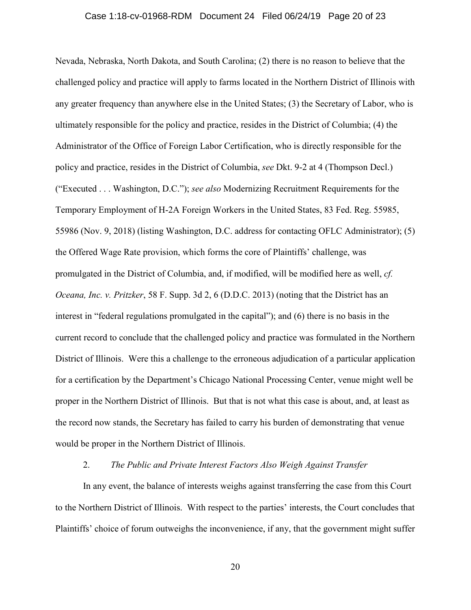### Case 1:18-cv-01968-RDM Document 24 Filed 06/24/19 Page 20 of 23

Nevada, Nebraska, North Dakota, and South Carolina; (2) there is no reason to believe that the challenged policy and practice will apply to farms located in the Northern District of Illinois with any greater frequency than anywhere else in the United States; (3) the Secretary of Labor, who is ultimately responsible for the policy and practice, resides in the District of Columbia; (4) the Administrator of the Office of Foreign Labor Certification, who is directly responsible for the policy and practice, resides in the District of Columbia, *see* Dkt. 9-2 at 4 (Thompson Decl.) ("Executed . . . Washington, D.C."); *see also* Modernizing Recruitment Requirements for the Temporary Employment of H-2A Foreign Workers in the United States, 83 Fed. Reg. 55985, 55986 (Nov. 9, 2018) (listing Washington, D.C. address for contacting OFLC Administrator); (5) the Offered Wage Rate provision, which forms the core of Plaintiffs' challenge, was promulgated in the District of Columbia, and, if modified, will be modified here as well, *cf. Oceana, Inc. v. Pritzker*, 58 F. Supp. 3d 2, 6 (D.D.C. 2013) (noting that the District has an interest in "federal regulations promulgated in the capital"); and (6) there is no basis in the current record to conclude that the challenged policy and practice was formulated in the Northern District of Illinois. Were this a challenge to the erroneous adjudication of a particular application for a certification by the Department's Chicago National Processing Center, venue might well be proper in the Northern District of Illinois. But that is not what this case is about, and, at least as the record now stands, the Secretary has failed to carry his burden of demonstrating that venue would be proper in the Northern District of Illinois.

## 2. *The Public and Private Interest Factors Also Weigh Against Transfer*

In any event, the balance of interests weighs against transferring the case from this Court to the Northern District of Illinois. With respect to the parties' interests, the Court concludes that Plaintiffs' choice of forum outweighs the inconvenience, if any, that the government might suffer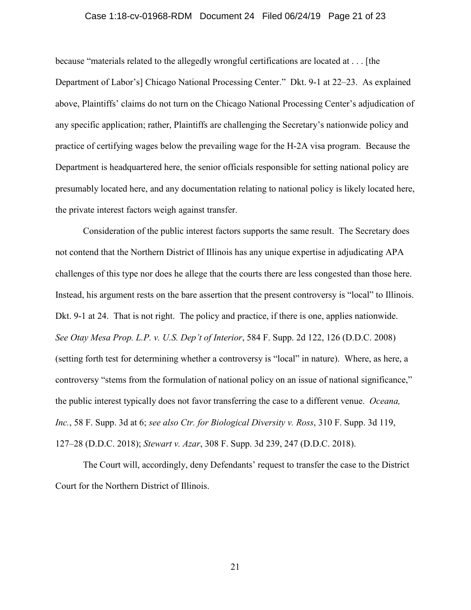# Case 1:18-cv-01968-RDM Document 24 Filed 06/24/19 Page 21 of 23

because "materials related to the allegedly wrongful certifications are located at . . . [the Department of Labor's] Chicago National Processing Center." Dkt. 9-1 at 22–23. As explained above, Plaintiffs' claims do not turn on the Chicago National Processing Center's adjudication of any specific application; rather, Plaintiffs are challenging the Secretary's nationwide policy and practice of certifying wages below the prevailing wage for the H-2A visa program. Because the Department is headquartered here, the senior officials responsible for setting national policy are presumably located here, and any documentation relating to national policy is likely located here, the private interest factors weigh against transfer.

Consideration of the public interest factors supports the same result. The Secretary does not contend that the Northern District of Illinois has any unique expertise in adjudicating APA challenges of this type nor does he allege that the courts there are less congested than those here. Instead, his argument rests on the bare assertion that the present controversy is "local" to Illinois. Dkt. 9-1 at 24. That is not right. The policy and practice, if there is one, applies nationwide. *See Otay Mesa Prop. L.P. v. U.S. Dep't of Interior*, 584 F. Supp. 2d 122, 126 (D.D.C. 2008) (setting forth test for determining whether a controversy is "local" in nature). Where, as here, a controversy "stems from the formulation of national policy on an issue of national significance," the public interest typically does not favor transferring the case to a different venue. *Oceana, Inc.*, 58 F. Supp. 3d at 6; *see also Ctr. for Biological Diversity v. Ross*, 310 F. Supp. 3d 119, 127–28 (D.D.C. 2018); *Stewart v. Azar*, 308 F. Supp. 3d 239, 247 (D.D.C. 2018).

The Court will, accordingly, deny Defendants' request to transfer the case to the District Court for the Northern District of Illinois.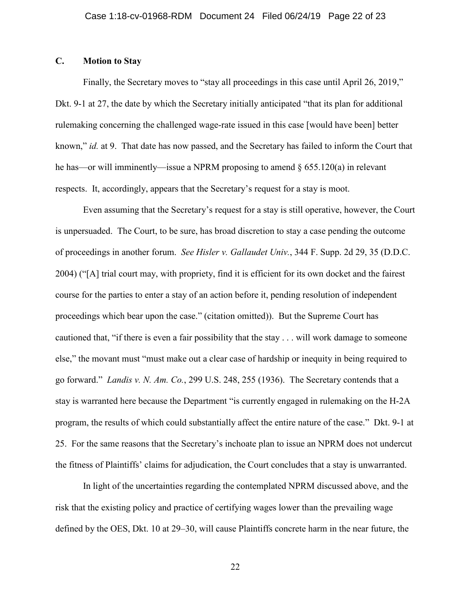# **C. Motion to Stay**

Finally, the Secretary moves to "stay all proceedings in this case until April 26, 2019," Dkt. 9-1 at 27, the date by which the Secretary initially anticipated "that its plan for additional rulemaking concerning the challenged wage-rate issued in this case [would have been] better known," *id.* at 9. That date has now passed, and the Secretary has failed to inform the Court that he has—or will imminently—issue a NPRM proposing to amend  $\S 655.120(a)$  in relevant respects. It, accordingly, appears that the Secretary's request for a stay is moot.

Even assuming that the Secretary's request for a stay is still operative, however, the Court is unpersuaded. The Court, to be sure, has broad discretion to stay a case pending the outcome of proceedings in another forum. *See Hisler v. Gallaudet Univ.*, 344 F. Supp. 2d 29, 35 (D.D.C. 2004) ("[A] trial court may, with propriety, find it is efficient for its own docket and the fairest course for the parties to enter a stay of an action before it, pending resolution of independent proceedings which bear upon the case." (citation omitted)). But the Supreme Court has cautioned that, "if there is even a fair possibility that the stay . . . will work damage to someone else," the movant must "must make out a clear case of hardship or inequity in being required to go forward." *Landis v. N. Am. Co.*, 299 U.S. 248, 255 (1936). The Secretary contends that a stay is warranted here because the Department "is currently engaged in rulemaking on the H-2A program, the results of which could substantially affect the entire nature of the case." Dkt. 9-1 at 25. For the same reasons that the Secretary's inchoate plan to issue an NPRM does not undercut the fitness of Plaintiffs' claims for adjudication, the Court concludes that a stay is unwarranted.

In light of the uncertainties regarding the contemplated NPRM discussed above, and the risk that the existing policy and practice of certifying wages lower than the prevailing wage defined by the OES, Dkt. 10 at 29–30, will cause Plaintiffs concrete harm in the near future, the